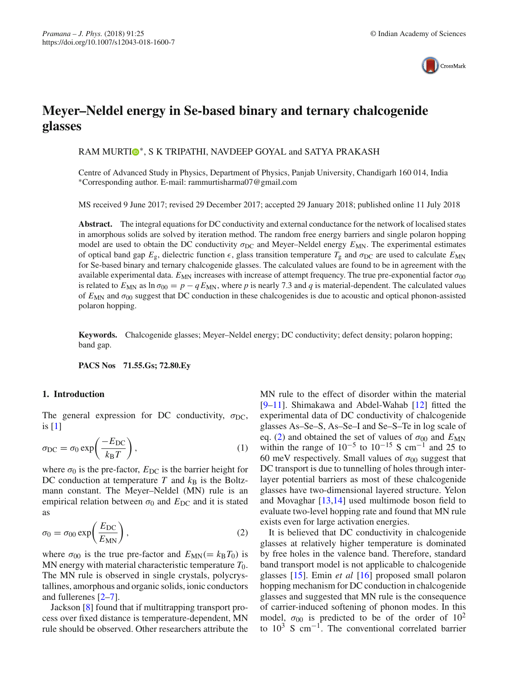

# **Meyer–Neldel energy in Se-based binary and ternary chalcogenide glasses**

RAM MURT[I](http://orcid.org/0000-0003-0633-6413)<sup>®</sup>\*, S K TRIPATHI, NAVDEEP GOYAL and SATYA PRAKASH

Centre of Advanced Study in Physics, Department of Physics, Panjab University, Chandigarh 160 014, India ∗Corresponding author. E-mail: rammurtisharma07@gmail.com

MS received 9 June 2017; revised 29 December 2017; accepted 29 January 2018; published online 11 July 2018

**Abstract.** The integral equations for DC conductivity and external conductance for the network of localised states in amorphous solids are solved by iteration method. The random free energy barriers and single polaron hopping model are used to obtain the DC conductivity  $\sigma_{DC}$  and Meyer–Neldel energy  $E_{MN}$ . The experimental estimates of optical band gap  $E_g$ , dielectric function  $\epsilon$ , glass transition temperature  $T_g$  and  $\sigma_{DC}$  are used to calculate  $E_{MN}$ for Se-based binary and ternary chalcogenide glasses. The calculated values are found to be in agreement with the available experimental data.  $E_{MN}$  increases with increase of attempt frequency. The true pre-exponential factor  $\sigma_{00}$ is related to  $E_{MN}$  as ln  $\sigma_{00} = p - q E_{MN}$ , where p is nearly 7.3 and q is material-dependent. The calculated values of  $E_{MN}$  and  $\sigma_{00}$  suggest that DC conduction in these chalcogenides is due to acoustic and optical phonon-assisted polaron hopping.

**Keywords.** Chalcogenide glasses; Meyer–Neldel energy; DC conductivity; defect density; polaron hopping; band gap.

**PACS Nos 71.55.Gs; 72.80.Ey**

## **1. Introduction**

The general expression for DC conductivity,  $\sigma_{DC}$ , is [\[1\]](#page-9-0)

$$
\sigma_{\rm DC} = \sigma_0 \exp\left(\frac{-E_{\rm DC}}{k_{\rm B}T}\right),\tag{1}
$$

where  $\sigma_0$  is the pre-factor,  $E_{DC}$  is the barrier height for DC conduction at temperature  $T$  and  $k_B$  is the Boltzmann constant. The Meyer–Neldel (MN) rule is an empirical relation between  $\sigma_0$  and  $E_{DC}$  and it is stated as

<span id="page-0-0"></span>
$$
\sigma_0 = \sigma_{00} \exp\left(\frac{E_{\rm DC}}{E_{\rm MN}}\right),\tag{2}
$$

where  $\sigma_{00}$  is the true pre-factor and  $E_{MN} (= k_B T_0)$  is MN energy with material characteristic temperature  $T_0$ . The MN rule is observed in single crystals, polycrystallines, amorphous and organic solids, ionic conductors and fullerenes [\[2](#page-9-1)[–7](#page-9-2)].

Jackson [\[8\]](#page-10-0) found that if multitrapping transport process over fixed distance is temperature-dependent, MN rule should be observed. Other researchers attribute the MN rule to the effect of disorder within the material [\[9](#page-10-1)[–11](#page-10-2)]. Shimakawa and Abdel-Wahab [\[12\]](#page-10-3) fitted the experimental data of DC conductivity of chalcogenide glasses As–Se–S, As–Se–I and Se–S–Te in log scale of eq. [\(2\)](#page-0-0) and obtained the set of values of  $\sigma_{00}$  and  $E_{MN}$ within the range of  $10^{-5}$  to  $10^{-15}$  S cm<sup>-1</sup> and 25 to 60 meV respectively. Small values of  $\sigma_{00}$  suggest that DC transport is due to tunnelling of holes through interlayer potential barriers as most of these chalcogenide glasses have two-dimensional layered structure. Yelon and Movaghar [\[13](#page-10-4)[,14\]](#page-10-5) used multimode boson field to evaluate two-level hopping rate and found that MN rule exists even for large activation energies.

It is believed that DC conductivity in chalcogenide glasses at relatively higher temperature is dominated by free holes in the valence band. Therefore, standard band transport model is not applicable to chalcogenide glasses [\[15](#page-10-6)]. Emin *et al* [\[16](#page-10-7)] proposed small polaron hopping mechanism for DC conduction in chalcogenide glasses and suggested that MN rule is the consequence of carrier-induced softening of phonon modes. In this model,  $\sigma_{00}$  is predicted to be of the order of  $10^2$ to  $10^3$  S cm<sup>-1</sup>. The conventional correlated barrier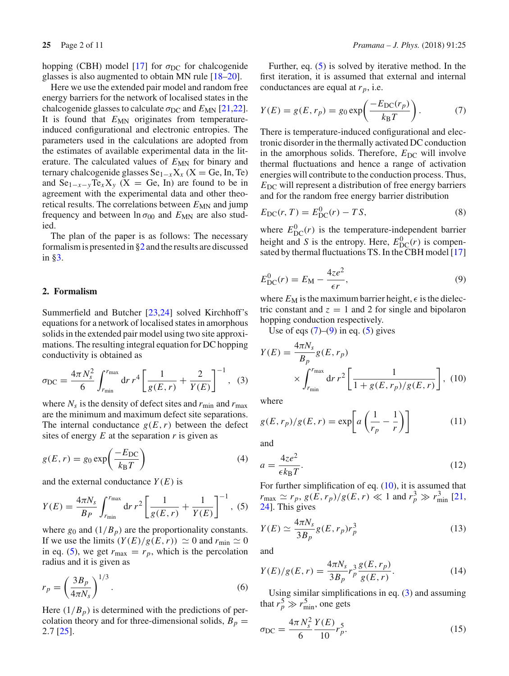hopping (CBH) model [\[17](#page-10-8)] for  $\sigma_{DC}$  for chalcogenide glasses is also augmented to obtain MN rule [\[18](#page-10-9)[–20](#page-10-10)].

Here we use the extended pair model and random free energy barriers for the network of localised states in the chalcogenide glasses to calculate  $\sigma_{DC}$  and  $E_{MN}$  [\[21](#page-10-11)[,22](#page-10-12)]. It is found that  $E_{MN}$  originates from temperatureinduced configurational and electronic entropies. The parameters used in the calculations are adopted from the estimates of available experimental data in the literature. The calculated values of  $E_{MN}$  for binary and ternary chalcogenide glasses  $Se_{1-x}X_x$  (X = Ge, In, Te) and  $Se_{1-x-y}Te_{x}X_{y}$  (X = Ge, In) are found to be in agreement with the experimental data and other theoretical results. The correlations between  $E_{MN}$  and jump frequency and between  $\ln \sigma_{00}$  and  $E_{MN}$  are also studied.

The plan of the paper is as follows: The necessary formalism is presented in [§2](#page-1-0) and the results are discussed in [§3.](#page-2-0)

## <span id="page-1-0"></span>**2. Formalism**

Summerfield and Butcher [\[23](#page-10-13)[,24](#page-10-14)] solved Kirchhoff's equations for a network of localised states in amorphous solids in the extended pair model using two site approximations. The resulting integral equation for DC hopping conductivity is obtained as

<span id="page-1-5"></span>
$$
\sigma_{\rm DC} = \frac{4\pi N_s^2}{6} \int_{r_{\rm min}}^{r_{\rm max}} dr \, r^4 \left[ \frac{1}{g(E, r)} + \frac{2}{Y(E)} \right]^{-1}, \tag{3}
$$

where  $N_s$  is the density of defect sites and  $r_{\text{min}}$  and  $r_{\text{max}}$ are the minimum and maximum defect site separations. The internal conductance  $g(E, r)$  between the defect sites of energy *E* at the separation *r* is given as

$$
g(E,r) = g_0 \exp\left(\frac{-E_{DC}}{k_B T}\right)
$$
 (4)

and the external conductance  $Y(E)$  is

<span id="page-1-1"></span>
$$
Y(E) = \frac{4\pi N_s}{B_P} \int_{r_{\text{min}}}^{r_{\text{max}}} dr \, r^2 \left[ \frac{1}{g(E, r)} + \frac{1}{Y(E)} \right]^{-1}, \tag{5}
$$

where  $g_0$  and  $(1/B_p)$  are the proportionality constants. If we use the limits  $(Y(E)/g(E,r)) \simeq 0$  and  $r_{\min} \simeq 0$ in eq. [\(5\)](#page-1-1), we get  $r_{\text{max}} = r_p$ , which is the percolation radius and it is given as

<span id="page-1-9"></span>
$$
r_p = \left(\frac{3B_p}{4\pi N_s}\right)^{1/3}.\tag{6}
$$

Here  $(1/B_p)$  is determined with the predictions of percolation theory and for three-dimensional solids,  $B_p =$ 2.7 [\[25\]](#page-10-15).

Further, eq. [\(5\)](#page-1-1) is solved by iterative method. In the first iteration, it is assumed that external and internal conductances are equal at  $r_p$ , i.e.

<span id="page-1-2"></span>
$$
Y(E) = g(E, r_p) = g_0 \exp\left(\frac{-E_{\rm DC}(r_p)}{k_{\rm B}T}\right). \tag{7}
$$

There is temperature-induced configurational and electronic disorder in the thermally activated DC conduction in the amorphous solids. Therefore, *E*<sub>DC</sub> will involve thermal fluctuations and hence a range of activation energies will contribute to the conduction process. Thus,  $E_{\text{DC}}$  will represent a distribution of free energy barriers and for the random free energy barrier distribution

<span id="page-1-8"></span>
$$
E_{\rm DC}(r, T) = E_{\rm DC}^{0}(r) - TS,
$$
\n(8)

where  $E_{DC}^{0}(r)$  is the temperature-independent barrier height and *S* is the entropy. Here,  $E_{\text{DC}}^0(r)$  is compensated by thermal fluctuations TS. In the CBH model [\[17\]](#page-10-8)

<span id="page-1-3"></span>
$$
E_{\rm DC}^0(r) = E_{\rm M} - \frac{4ze^2}{\epsilon r},\tag{9}
$$

where  $E_M$  is the maximum barrier height,  $\epsilon$  is the dielectric constant and  $z = 1$  and 2 for single and bipolaron hopping conduction respectively.

Use of eqs  $(7)$ – $(9)$  in eq.  $(5)$  gives

<span id="page-1-4"></span>
$$
Y(E) = \frac{4\pi N_s}{B_p} g(E, r_p)
$$
  
 
$$
\times \int_{r_{\text{min}}}^{r_{\text{max}}} dr r^2 \left[ \frac{1}{1 + g(E, r_p)/g(E, r)} \right], (10)
$$

where

$$
g(E, r_p)/g(E, r) = \exp\left[a\left(\frac{1}{r_p} - \frac{1}{r}\right)\right]
$$
 (11)

and

$$
a = \frac{4ze^2}{\epsilon k_B T}.\tag{12}
$$

For further simplification of eq.  $(10)$ , it is assumed that  $r_{\text{max}} \simeq r_p, g(E, r_p)/g(E, r) \ll 1$  and  $r_p^3 \gg r_{\text{min}}^3$  [\[21,](#page-10-11) [24\]](#page-10-14). This gives

<span id="page-1-6"></span>
$$
Y(E) \simeq \frac{4\pi N_s}{3B_p} g(E, r_p) r_p^3 \tag{13}
$$

and

$$
Y(E)/g(E,r) = \frac{4\pi N_s}{3B_p} r_p^3 \frac{g(E,r_p)}{g(E,r)}.
$$
 (14)

<span id="page-1-7"></span>Using similar simplifications in eq.  $(3)$  and assuming that  $r_p^5 \gg r_{\min}^5$ , one gets

$$
\sigma_{\rm DC} = \frac{4\pi N_s^2}{6} \frac{Y(E)}{10} r_p^5.
$$
\n(15)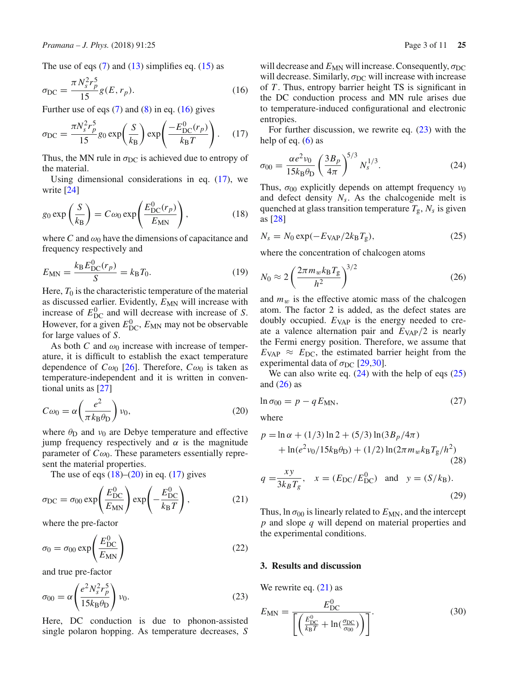The use of eqs  $(7)$  and  $(13)$  simplifies eq.  $(15)$  as

$$
\sigma_{\rm DC} = \frac{\pi N_s^2 r_p^5}{15} g(E, r_p). \tag{16}
$$

Further use of eqs  $(7)$  and  $(8)$  in eq.  $(16)$  gives

$$
\sigma_{\rm DC} = \frac{\pi N_s^2 r_p^5}{15} g_0 \exp\left(\frac{S}{k_B}\right) \exp\left(\frac{-E_{\rm DC}^0(r_p)}{k_B T}\right). \quad (17)
$$

Thus, the MN rule in  $\sigma_{DC}$  is achieved due to entropy of the material.

<span id="page-2-3"></span>Using dimensional considerations in eq. [\(17\)](#page-2-2), we write [\[24](#page-10-14)]

$$
g_0 \exp\left(\frac{S}{k_B}\right) = C\omega_0 \exp\left(\frac{E_{\rm DC}^0(r_p)}{E_{\rm MN}}\right),\tag{18}
$$

where C and  $\omega_0$  have the dimensions of capacitance and frequency respectively and

$$
E_{MN} = \frac{k_B E_{DC}^0(r_p)}{S} = k_B T_0.
$$
 (19)

Here,  $T_0$  is the characteristic temperature of the material as discussed earlier. Evidently,  $E_{MN}$  will increase with increase of  $E_{\text{DC}}^0$  and will decrease with increase of *S*. However, for a given  $E_{\text{DC}}^0$ ,  $E_{\text{MN}}$  may not be observable for large values of *S*.

As both *C* and  $\omega_0$  increase with increase of temperature, it is difficult to establish the exact temperature dependence of  $C\omega_0$  [\[26](#page-10-16)]. Therefore,  $C\omega_0$  is taken as temperature-independent and it is written in conventional units as [\[27\]](#page-10-17)

<span id="page-2-4"></span>
$$
C\omega_0 = \alpha \left(\frac{e^2}{\pi k_B \theta_D}\right) \nu_0, \tag{20}
$$

where  $\theta_{\rm D}$  and  $\nu_0$  are Debye temperature and effective jump frequency respectively and  $\alpha$  is the magnitude parameter of  $C\omega_0$ . These parameters essentially represent the material properties.

The use of eqs  $(18)$ – $(20)$  in eq.  $(17)$  gives

$$
\sigma_{\rm DC} = \sigma_{00} \exp\left(\frac{E_{\rm DC}^0}{E_{\rm MN}}\right) \exp\left(-\frac{E_{\rm DC}^0}{k_{\rm B}T}\right),\tag{21}
$$

<span id="page-2-10"></span>where the pre-factor

$$
\sigma_0 = \sigma_{00} \exp\left(\frac{E_{\rm DC}^0}{E_{\rm MN}}\right) \tag{22}
$$

<span id="page-2-5"></span>and true pre-factor

$$
\sigma_{00} = \alpha \left( \frac{e^2 N_s^2 r_p^5}{15 k_B \theta_D} \right) \nu_0. \tag{23}
$$

Here, DC conduction is due to phonon-assisted single polaron hopping. As temperature decreases, *S* <span id="page-2-1"></span>will decrease and  $E_{MN}$  will increase. Consequently,  $\sigma_{DC}$ will decrease. Similarly,  $\sigma_{DC}$  will increase with increase of *T* . Thus, entropy barrier height TS is significant in the DC conduction process and MN rule arises due to temperature-induced configurational and electronic entropies.

<span id="page-2-6"></span><span id="page-2-2"></span>For further discussion, we rewrite eq.  $(23)$  with the help of eq.  $(6)$  as

$$
\sigma_{00} = \frac{\alpha e^2 v_0}{15 k_B \theta_D} \left(\frac{3 B_p}{4\pi}\right)^{5/3} N_s^{1/3}.
$$
 (24)

Thus,  $\sigma_{00}$  explicitly depends on attempt frequency  $v_0$ and defect density  $N_s$ . As the chalcogenide melt is quenched at glass transition temperature  $T_g$ ,  $N_s$  is given as [\[28](#page-10-18)]

<span id="page-2-7"></span>
$$
N_s = N_0 \exp(-E_{\text{VAP}}/2k_{\text{B}}T_{\text{g}}),\tag{25}
$$

where the concentration of chalcogen atoms

<span id="page-2-8"></span>
$$
N_0 \approx 2\left(\frac{2\pi m_w k_B T_g}{h^2}\right)^{3/2} \tag{26}
$$

and  $m_w$  is the effective atomic mass of the chalcogen atom. The factor 2 is added, as the defect states are doubly occupied.  $E_{VAP}$  is the energy needed to create a valence alternation pair and *E*VAP/2 is nearly the Fermi energy position. Therefore, we assume that  $E_{\text{VAP}} \approx E_{\text{DC}}$ , the estimated barrier height from the experimental data of  $\sigma_{\text{DC}}$  [\[29](#page-10-19)[,30](#page-10-20)].

<span id="page-2-12"></span>We can also write eq.  $(24)$  with the help of eqs  $(25)$ and  $(26)$  as

$$
\ln \sigma_{00} = p - q E_{MN},\tag{27}
$$

where

$$
p = \ln \alpha + (1/3) \ln 2 + (5/3) \ln(3B_p/4\pi)
$$
  
+  $\ln(e^2 v_0/15k_B \theta_D) + (1/2) \ln(2\pi m_w k_B T_g/h^2)$   
(28)  
 $q = \frac{xy}{3k_B T_g}$ ,  $x = (E_{DC}/E_{DC}^0)$  and  $y = (S/k_B)$ .

<span id="page-2-9"></span>Thus,  $\ln \sigma_{00}$  is linearly related to  $E_{MN}$ , and the intercept *p* and slope *q* will depend on material properties and the experimental conditions.

(29)

#### <span id="page-2-0"></span>**3. Results and discussion**

We rewrite eq.  $(21)$  as

<span id="page-2-11"></span>
$$
E_{\rm MN} = \frac{E_{\rm DC}^0}{\left[ \left( \frac{E_{\rm DC}^0}{k_{\rm B}T} + \ln(\frac{\sigma_{\rm DC}}{\sigma_{00}}) \right) \right]}.
$$
(30)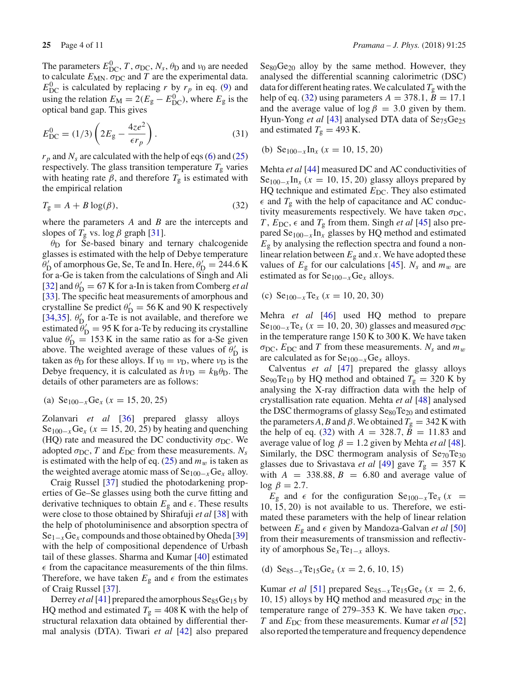The parameters  $E_{\text{DC}}^0$ , *T*,  $\sigma_{\text{DC}}$ ,  $N_s$ ,  $\theta_{\text{D}}$  and  $\nu_0$  are needed to calculate  $E_{MN}$ .  $\sigma_{DC}$  and *T* are the experimental data.  $E_{\text{DC}}^0$  is calculated by replacing *r* by  $r_p$  in eq. [\(9\)](#page-1-3) and using the relation  $E_M = 2(E_g - E_{DC}^0)$ , where  $E_g$  is the optical band gap. This gives

$$
E_{\rm DC}^0 = (1/3) \left( 2E_{\rm g} - \frac{4ze^2}{\epsilon_{\it r_p}} \right). \tag{31}
$$

 $r_p$  and  $N_s$  are calculated with the help of eqs [\(6\)](#page-1-9) and [\(25\)](#page-2-7) respectively. The glass transition temperature  $T_{\rm g}$  varies with heating rate  $\beta$ , and therefore  $T_g$  is estimated with the empirical relation

<span id="page-3-0"></span>
$$
T_g = A + B \log(\beta),\tag{32}
$$

where the parameters *A* and *B* are the intercepts and slopes of  $T_g$  vs. log  $\beta$  graph [\[31\]](#page-10-21).

 $\theta_{\rm D}$  for Se-based binary and ternary chalcogenide glasses is estimated with the help of Debye temperature  $\theta'_{\rm D}$  of amorphous Ge, Se, Te and In. Here,  $\theta'_{\rm D} = 244.6 \,\rm K$ for a-Ge is taken from the calculations of Singh and Ali [\[32](#page-10-22)] and  $\theta'_{\rm D} = 67$  K for a-In is taken from Comberg *et al* [\[33](#page-10-23)]. The specific heat measurements of amorphous and crystalline Se predict  $\theta'_{D} = 56$  K and 90 K respectively [\[34](#page-10-24)[,35\]](#page-10-25).  $\theta'_{\rm D}$  for a-Te is not available, and therefore we estimated  $\theta'_{\text{D}} = 95 \text{ K}$  for a-Te by reducing its crystalline value  $\theta'_{\rm D} = 153$  K in the same ratio as for a-Se given above. The weighted average of these values of  $\theta'_{\rm D}$  is taken as  $\theta_D$  for these alloys. If  $v_0 = v_D$ , where  $v_D$  is the Debye frequency, it is calculated as  $h\nu_D = k_B \theta_D$ . The details of other parameters are as follows:

(a) Se100−*x*Ge*<sup>x</sup>* (*x* = 15, 20, 25)

Zolanvari *et al* [\[36\]](#page-10-26) prepared glassy alloys  $\text{Se}_{100-x}\text{Ge}_x$  ( $x = 15, 20, 25$ ) by heating and quenching (HQ) rate and measured the DC conductivity  $\sigma_{\text{DC}}$ . We adopted  $\sigma_{DC}$ , *T* and  $E_{DC}$  from these measurements.  $N_s$ is estimated with the help of eq.  $(25)$  and  $m_w$  is taken as the weighted average atomic mass of Se100−*x*Ge*<sup>x</sup>* alloy.

Craig Russel [\[37\]](#page-10-27) studied the photodarkening properties of Ge–Se glasses using both the curve fitting and derivative techniques to obtain  $E_{\rm g}$  and  $\epsilon$  . These results were close to those obtained by Shirafuji *et al* [\[38\]](#page-10-28) with the help of photoluminisence and absorption spectra of Se1−*x*Ge*<sup>x</sup>* compounds and those obtained by Oheda [\[39\]](#page-10-29) with the help of compositional dependence of Urbash tail of these glasses. Sharma and Kumar [\[40](#page-10-30)] estimated  $\epsilon$  from the capacitance measurements of the thin films. Therefore, we have taken  $E_{\rm g}$  and  $\epsilon$  from the estimates of Craig Russel [\[37](#page-10-27)].

Derrey *et al* [\[41\]](#page-10-31) prepared the amorphous Se<sub>85</sub>Ge<sub>15</sub> by HQ method and estimated  $T_g = 408$  K with the help of structural relaxation data obtained by differential thermal analysis (DTA). Tiwari *et al* [\[42](#page-10-32)] also prepared  $Se80Ge20$  alloy by the same method. However, they analysed the differential scanning calorimetric (DSC) data for different heating rates. We calculated  $T_g$  with the help of eq. [\(32\)](#page-3-0) using parameters  $A = 378.1, B = 17.1$ and the average value of  $\log \beta = 3.0$  given by them. Hyun-Yong *et al* [\[43\]](#page-10-33) analysed DTA data of Se<sub>75</sub>Ge<sub>25</sub> and estimated  $T_g = 493$  K.

(b) 
$$
\text{Se}_{100-x} \text{In}_x \ (x = 10, 15, 20)
$$

Mehta *et al* [\[44\]](#page-10-34) measured DC and AC conductivities of Se<sub>100−*x*</sub> In<sub>*x*</sub> ( $x = 10, 15, 20$ ) glassy alloys prepared by HQ technique and estimated  $E_{DC}$ . They also estimated  $\epsilon$  and  $T_g$  with the help of capacitance and AC conductivity measurements respectively. We have taken  $\sigma_{DC}$ , *T*,  $E_{DC}$ ,  $\epsilon$  and  $T_g$  from them. Singh *et al* [\[45\]](#page-10-35) also prepared Se100−*<sup>x</sup>* In*<sup>x</sup>* glasses by HQ method and estimated  $E<sub>g</sub>$  by analysing the reflection spectra and found a nonlinear relation between  $E<sub>g</sub>$  and *x*. We have adopted these values of  $E_g$  for our calculations [\[45\]](#page-10-35).  $N_s$  and  $m_w$  are estimated as for Se100−*x*Ge*<sup>x</sup>* alloys.

(c) 
$$
\text{Se}_{100-x}\text{Te}_x
$$
  $(x = 10, 20, 30)$ 

Mehra *et al* [\[46\]](#page-10-36) used HQ method to prepare Se<sub>100−*x*</sub>Te<sub>*x*</sub> ( $x = 10, 20, 30$ ) glasses and measured  $\sigma_{DC}$ in the temperature range 150 K to 300 K. We have taken  $\sigma_{\text{DC}}$ ,  $E_{\text{DC}}$  and *T* from these measurements.  $N_s$  and  $m_w$ are calculated as for Se100−*x*Ge*<sup>x</sup>* alloys.

Calventus *et al* [\[47\]](#page-10-37) prepared the glassy alloys Se<sub>90</sub>Te<sub>10</sub> by HQ method and obtained  $T_g = 320$  K by analysing the X-ray diffraction data with the help of crystallisation rate equation. Mehta *et al* [\[48\]](#page-10-38) analysed the DSC thermograms of glassy Se<sub>80</sub>Te<sub>20</sub> and estimated the parameters A, B and  $\beta$ . We obtained  $T_g = 342$  K with the help of eq. [\(32\)](#page-3-0) with  $A = 328.7$ ,  $B = 11.83$  and average value of log  $\beta = 1.2$  given by Mehta *et al* [\[48](#page-10-38)]. Similarly, the DSC thermogram analysis of  $Se_{70}Te_{30}$ glasses due to Srivastava *et al* [\[49\]](#page-10-39) gave  $T_g = 357$  K with  $A = 338.88$ ,  $B = 6.80$  and average value of log  $\beta = 2.7$ .

*E*<sub>g</sub> and  $\epsilon$  for the configuration Se<sub>100−*x*</sub>Te<sub>*x*</sub> (*x* = 10, 15, 20) is not available to us. Therefore, we estimated these parameters with the help of linear relation between  $E_g$  and  $\epsilon$  given by Mandoza-Galvan *et al* [\[50\]](#page-10-40) from their measurements of transmission and reflectivity of amorphous Se*x*Te1−*<sup>x</sup>* alloys.

(d) Se85−*<sup>x</sup>*Te15Ge*<sup>x</sup>* (*x* = 2, 6, 10, 15)

Kumar *et al* [\[51](#page-10-41)] prepared  $\text{Se}_{85-x}\text{Te}_{15}\text{Ge}_x$  ( $x = 2, 6$ , 10, 15) alloys by HQ method and measured  $\sigma_{DC}$  in the temperature range of 279–353 K. We have taken  $\sigma_{DC}$ , *T* and *E*<sub>DC</sub> from these measurements. Kumar *et al* [\[52\]](#page-10-42) also reported the temperature and frequency dependence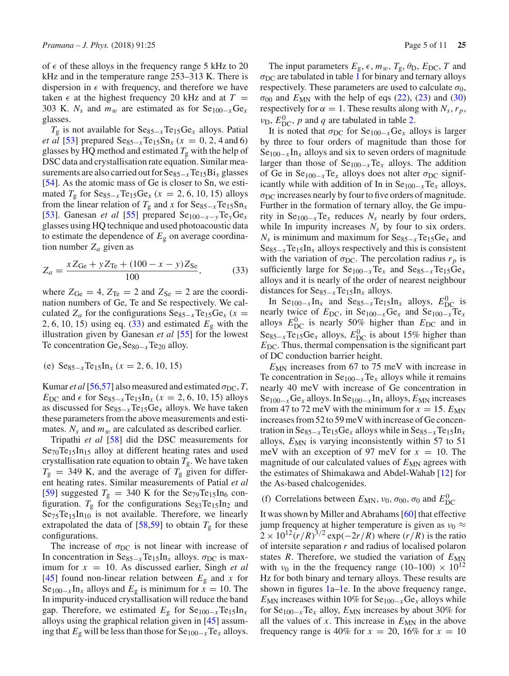of  $\epsilon$  of these alloys in the frequency range 5 kHz to 20 kHz and in the temperature range 253–313 K. There is dispersion in  $\epsilon$  with frequency, and therefore we have taken  $\epsilon$  at the highest frequency 20 kHz and at  $T =$ 303 K.  $N_s$  and  $m_w$  are estimated as for Se<sub>100−*x*</sub>Ge<sub>*x*</sub> glasses.

*T*<sub>g</sub> is not available for Se<sub>85−*x*</sub>Te<sub>15</sub>Ge<sub>*x*</sub> alloys. Patial *et al* [\[53\]](#page-10-43) prepared  $\text{Se}_{85-x}\text{Te}_{15}\text{Sn}_x$  ( $x = 0, 2, 4$  and 6) glasses by HQ method and estimated  $T_g$  with the help of DSC data and crystallisation rate equation. Similar measurements are also carried out for Se85−*<sup>x</sup>*Te15Bi*<sup>x</sup>* glasses [\[54](#page-10-44)]. As the atomic mass of Ge is closer to Sn, we estimated  $T_g$  for  $\text{Seg}_{5-x}$ Te<sub>15</sub>Ge<sub>*x*</sub> ( $x = 2, 6, 10, 15$ ) alloys from the linear relation of  $T_g$  and *x* for  $\text{Se}_{85-x}\text{Te}_{15}\text{Sn}_x$ [\[53](#page-10-43)]. Ganesan *et al* [\[55\]](#page-10-45) prepared Se100−*x*−*y*Te*y*Ge*<sup>x</sup>* glasses using HQ technique and used photoacoustic data to estimate the dependence of  $E<sub>g</sub>$  on average coordination number  $Z_a$  given as

<span id="page-4-0"></span>
$$
Z_a = \frac{xZ_{\text{Ge}} + yZ_{\text{Te}} + (100 - x - y)Z_{\text{Se}}}{100},\tag{33}
$$

where  $Z_{\text{Ge}} = 4$ ,  $Z_{\text{Te}} = 2$  and  $Z_{\text{Se}} = 2$  are the coordination numbers of Ge, Te and Se respectively. We calculated  $Z_a$  for the configurations  $\text{Se}_{85-x}\text{Te}_{15}\text{Ge}_x$  ( $x =$ 2, 6, 10, 15) using eq. [\(33\)](#page-4-0) and estimated *E*<sup>g</sup> with the illustration given by Ganesan *et al* [\[55\]](#page-10-45) for the lowest Te concentration Ge<sub>*x*</sub>Se<sub>80−*x*</sub>Te<sub>20</sub> alloy.

(e) 
$$
\text{Se}_{85-x} \text{Te}_{15} \text{In}_x \ (x = 2, 6, 10, 15)
$$

Kumar *et al* [\[56](#page-10-46)[,57\]](#page-10-47) also measured and estimated  $\sigma_{DC}$ , *T*, *E*<sub>DC</sub> and  $\epsilon$  for Se<sub>85−*x*</sub>Te<sub>15</sub>In<sub>*x*</sub> ( $x = 2, 6, 10, 15$ ) alloys as discussed for Se85−*<sup>x</sup>*Te15Ge*<sup>x</sup>* alloys. We have taken these parameters from the above measurements and estimates.  $N_s$  and  $m_w$  are calculated as described earlier.

Tripathi *et al* [\[58\]](#page-10-48) did the DSC measurements for  $Se_{70}Te_{15}In_{15}$  alloy at different heating rates and used crystallisation rate equation to obtain  $T_{\rm g}$ . We have taken  $T<sub>g</sub>$  = 349 K, and the average of  $T<sub>g</sub>$  given for different heating rates. Similar measurements of Patial *et al* [\[59](#page-10-49)] suggested  $T_g = 340$  K for the Se<sub>79</sub>Te<sub>15</sub>In<sub>6</sub> configuration.  $T_g$  for the configurations  $Se_{83}Te_{15}In_2$  and  $Se_{75}Te_{15}In_{10}$  is not available. Therefore, we linearly extrapolated the data of  $[58,59]$  $[58,59]$  to obtain  $T_g$  for these configurations.

The increase of  $\sigma_{DC}$  is not linear with increase of In concentration in  $\text{Se}_{85-x}\text{Te}_{15}\text{In}_x$  alloys.  $\sigma_{\text{DC}}$  is maximum for *x* = 10. As discussed earlier, Singh *et al* [\[45](#page-10-35)] found non-linear relation between  $E<sub>g</sub>$  and *x* for Se<sub>100−*x*</sub> In<sub>*x*</sub> alloys and  $E_g$  is minimum for  $x = 10$ . The In impurity-induced crystallisation will reduce the band gap. Therefore, we estimated  $E<sub>g</sub>$  for  $\text{Se}_{100-x}\text{Te}_{15}\text{In}_x$ alloys using the graphical relation given in [\[45](#page-10-35)] assuming that  $E_g$  will be less than those for  $\text{Se}_{100-x}\text{Te}_x$  alloys.

The input parameters  $E_{\rm g}$ ,  $\epsilon$ ,  $m_w$ ,  $T_{\rm g}$ ,  $\theta_{\rm D}$ ,  $E_{\rm DC}$ ,  $T$  and  $\sigma_{\text{DC}}$  are tabulated in table [1](#page-5-0) for binary and ternary alloys respectively. These parameters are used to calculate  $\sigma_0$ ,  $\sigma_{00}$  and  $E_{MN}$  with the help of eqs [\(22\)](#page-2-10), [\(23\)](#page-2-5) and [\(30\)](#page-2-11) respectively for  $\alpha = 1$ . These results along with  $N_s$ ,  $r_p$ ,  $v_D$ ,  $E_{DC}^0$ , *p* and *q* are tabulated in table [2.](#page-6-0)

It is noted that  $\sigma_{DC}$  for Se<sub>100−*x*</sub>Ge<sub>*x*</sub> alloys is larger by three to four orders of magnitude than those for Se100−*<sup>x</sup>* In*<sup>x</sup>* alloys and six to seven orders of magnitude larger than those of Se100−*x*Te*<sup>x</sup>* alloys. The addition of Ge in  $\text{Se}_{100-x}\text{Te}_x$  alloys does not alter  $\sigma_{\text{DC}}$  significantly while with addition of In in Se100−*x*Te*<sup>x</sup>* alloys,  $\sigma_{\rm DC}$  increases nearly by four to five orders of magnitude. Further in the formation of ternary alloy, the Ge impurity in Se100−*x*Te*<sup>x</sup>* reduces *Ns* nearly by four orders, while In impurity increases  $N<sub>s</sub>$  by four to six orders.  $N_s$  is minimum and maximum for  $\text{Se}_{85-x}\text{Te}_{15}\text{Ge}_x$  and  $\text{Se}_{85-x}\text{Te}_{15}\text{In}_x$  alloys respectively and this is consistent with the variation of  $\sigma_{DC}$ . The percolation radius  $r_p$  is sufficiently large for Se100−*x*Te*<sup>x</sup>* and Se85−*<sup>x</sup>*Te15Ge*<sup>x</sup>* alloys and it is nearly of the order of nearest neighbour distances for Se85−*<sup>x</sup>*Te15In*<sup>x</sup>* alloys.

In Se<sub>100−*x*</sub>In<sub>*x*</sub> and Se<sub>85−*x*</sub>Te<sub>15</sub>In<sub>*x*</sub> alloys,  $E_{DC}^{0}$  is nearly twice of  $E_{DC}$ , in Se<sub>100−*x*</sub>Ge<sub>*x*</sub> and Se<sub>100−*x*</sub>Te<sub>*x*</sub> alloys  $E_{\text{DC}}^0$  is nearly 50% higher than  $E_{\text{DC}}$  and in  $\text{Seg}_{5-x}\text{Te}_{15}\text{Ge}_x$  alloys,  $E_{\text{DC}}^0$  is about 15% higher than  $E_{\text{DC}}$ . Thus, thermal compensation is the significant part of DC conduction barrier height.

*E*<sub>MN</sub> increases from 67 to 75 meV with increase in Te concentration in Se100−*x*Te*<sup>x</sup>* alloys while it remains nearly 40 meV with increase of Ge concentration in Se<sub>100−*x*</sub>Ge<sub>*x*</sub> alloys. In Se<sub>100−*x*</sub>In<sub>*x*</sub> alloys, *E*<sub>MN</sub> increases from 47 to 72 meV with the minimum for  $x = 15$ .  $E_{MN}$ increases from 52 to 59 meV with increase of Ge concentration in  $\text{Se}_{85-x}$ Te<sub>15</sub>Ge<sub>x</sub> alloys while in  $\text{Se}_{85-x}$ Te<sub>15</sub>In<sub>*x*</sub> alloys,  $E_{MN}$  is varying inconsistently within 57 to 51 meV with an exception of 97 meV for  $x = 10$ . The magnitude of our calculated values of  $E_{MN}$  agrees with the estimates of Shimakawa and Abdel-Wahab [\[12](#page-10-3)] for the As-based chalcogenides.

# (f) Correlations between  $E_{MN}$ ,  $v_0$ ,  $\sigma_{00}$ ,  $\sigma_0$  and  $E_{DC}^0$

It was shown by Miller and Abrahams [\[60\]](#page-10-50) that effective jump frequency at higher temperature is given as  $v_0 \approx$  $2 \times 10^{12} (r/R)^{3/2}$  exp( $-2r/R$ ) where  $(r/R)$  is the ratio of intersite separation *r* and radius of localised polaron states  $R$ . Therefore, we studied the variation of  $E_{MN}$ with  $v_0$  in the the frequency range (10–100)  $\times$  10<sup>12</sup> Hz for both binary and ternary alloys. These results are shown in figures [1a–1e](#page-7-0). In the above frequency range,  $E_{MN}$  increases within 10% for Se<sub>100−*x*</sub>Ge<sub>*x*</sub> alloys while for Se<sub>100−*x*</sub>Te<sub>*x*</sub> alloy, *E*<sub>MN</sub> increases by about 30% for all the values of  $x$ . This increase in  $E_{MN}$  in the above frequency range is 40% for  $x = 20$ , 16% for  $x = 10$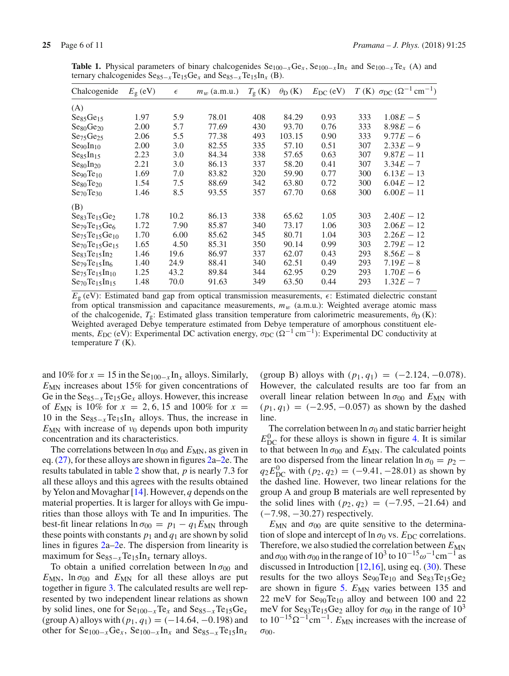| Chalcogenide                      | $E_{\rm g}$ (eV) | $\epsilon$ | $m_w$ (a.m.u.) | $T_{\rm g}$ (K) | $\theta_{\rm D}$ (K) | $E_{\rm DC}$ (eV) |     | T (K) $\sigma_{DC}$ ( $\Omega^{-1}$ cm <sup>-1</sup> ) |
|-----------------------------------|------------------|------------|----------------|-----------------|----------------------|-------------------|-----|--------------------------------------------------------|
| (A)                               |                  |            |                |                 |                      |                   |     |                                                        |
| Se <sub>85</sub> Ge <sub>15</sub> | 1.97             | 5.9        | 78.01          | 408             | 84.29                | 0.93              | 333 | $1.08E - 5$                                            |
| Se80Ge20                          | 2.00             | 5.7        | 77.69          | 430             | 93.70                | 0.76              | 333 | $8.98E - 6$                                            |
| Se <sub>75</sub> Ge <sub>25</sub> | 2.06             | 5.5        | 77.38          | 493             | 103.15               | 0.90              | 333 | $9.77E - 6$                                            |
| Se <sub>90</sub> In <sub>10</sub> | 2.00             | 3.0        | 82.55          | 335             | 57.10                | 0.51              | 307 | $2.33E - 9$                                            |
| Se85In15                          | 2.23             | 3.0        | 84.34          | 338             | 57.65                | 0.63              | 307 | $9.87E - 11$                                           |
| Se80In20                          | 2.21             | 3.0        | 86.13          | 337             | 58.20                | 0.41              | 307 | $3.34E - 7$                                            |
| Seg0Te <sub>10</sub>              | 1.69             | 7.0        | 83.82          | 320             | 59.90                | 0.77              | 300 | $6.13E - 13$                                           |
| $Se_{80}Te_{20}$                  | 1.54             | 7.5        | 88.69          | 342             | 63.80                | 0.72              | 300 | $6.04E - 12$                                           |
| Se <sub>70</sub> Te <sub>30</sub> | 1.46             | 8.5        | 93.55          | 357             | 67.70                | 0.68              | 300 | $6.00E - 11$                                           |
| (B)                               |                  |            |                |                 |                      |                   |     |                                                        |
| $Se_{83}Te_{15}Ge_2$              | 1.78             | 10.2       | 86.13          | 338             | 65.62                | 1.05              | 303 | $2.40E - 12$                                           |
| $Se79Te15Ge6$                     | 1.72             | 7.90       | 85.87          | 340             | 73.17                | 1.06              | 303 | $2.06E - 12$                                           |
| $Se_{75}Te_{15}Ge_{10}$           | 1.70             | 6.00       | 85.62          | 345             | 80.71                | 1.04              | 303 | $2.26E - 12$                                           |
| $Se_{70}Te_{15}Ge_{15}$           | 1.65             | 4.50       | 85.31          | 350             | 90.14                | 0.99              | 303 | $2.79E - 12$                                           |
| $Se_{83}Te_{15}In_2$              | 1.46             | 19.6       | 86.97          | 337             | 62.07                | 0.43              | 293 | $8.56E - 8$                                            |
| $Se_{79}Te_{15}In_6$              | 1.40             | 24.9       | 88.41          | 340             | 62.51                | 0.49              | 293 | $7.19E - 8$                                            |
| $Se_{75}Te_{15}In_{10}$           | 1.25             | 43.2       | 89.84          | 344             | 62.95                | 0.29              | 293 | $1.70E - 6$                                            |
| $Se_{70}Te_{15}In_{15}$           | 1.48             | 70.0       | 91.63          | 349             | 63.50                | 0.44              | 293 | $1.32E - 7$                                            |

<span id="page-5-0"></span>**Table 1.** Physical parameters of binary chalcogenides Se<sub>100−*x*</sub>Ge<sub>*x*</sub>, Se<sub>100−*x*</sub> In<sub>*x*</sub> and Se<sub>100−*x*</sub>Te<sub>*x*</sub> (A) and ternary chalcogenides  $\text{Se}_{85-x}\text{Te}_{15}\text{Ge}_x$  and  $\text{Se}_{85-x}\text{Te}_{15}\text{In}_x$  (B).

 $E_{g}$  (eV): Estimated band gap from optical transmission measurements,  $\epsilon$ : Estimated dielectric constant from optical transmission and capacitance measurements,  $m_w$  (a.m.u.): Weighted average atomic mass of the chalcogenide,  $T_g$ : Estimated glass transition temperature from calorimetric measurements,  $\theta_D$  (K): Weighted averaged Debye temperature estimated from Debye temperature of amorphous constituent elements,  $E_{\text{DC}}$  (eV): Experimental DC activation energy,  $\sigma_{\text{DC}} (\Omega^{-1} \text{ cm}^{-1})$ : Experimental DC conductivity at temperature *T* (K).

and 10% for  $x = 15$  in the Se<sub>100−*x*</sub> In<sub>*x*</sub> alloys. Similarly, *E*<sub>MN</sub> increases about 15% for given concentrations of Ge in the Se85−*<sup>x</sup>*Te15Ge*<sup>x</sup>* alloys. However, this increase of  $E_{MN}$  is 10% for  $x = 2, 6, 15$  and 100% for  $x =$ 10 in the  $\text{Se}_{85-x}\text{Te}_{15}\text{In}_x$  alloys. Thus, the increase in  $E_{MN}$  with increase of  $v_0$  depends upon both impurity concentration and its characteristics.

The correlations between  $\ln \sigma_{00}$  and  $E_{MN}$ , as given in eq. [\(27\)](#page-2-12), for these alloys are shown in figures [2a–2e](#page-8-0). The results tabulated in table [2](#page-6-0) show that, *p* is nearly 7.3 for all these alloys and this agrees with the results obtained by Yelon and Movaghar [\[14\]](#page-10-5). However, *q* depends on the material properties. It is larger for alloys with Ge impurities than those alloys with Te and In impurities. The best-fit linear relations  $\ln \sigma_{00} = p_1 - q_1 E_{MN}$  through these points with constants  $p_1$  and  $q_1$  are shown by solid lines in figures [2a–2e](#page-8-0). The dispersion from linearity is maximum for Se<sub>85−*x*</sub>Te<sub>15</sub>In<sub>*x*</sub> ternary alloys.

To obtain a unified correlation between  $\ln \sigma_{00}$  and  $E_{MN}$ ,  $\ln \sigma_{00}$  and  $E_{MN}$  for all these alloys are put together in figure [3.](#page-9-3) The calculated results are well represented by two independent linear relations as shown by solid lines, one for Se100−*x*Te*<sup>x</sup>* and Se85−*<sup>x</sup>*Te15Ge*<sup>x</sup>* (group A) alloys with (*p*1, *q*1) = (−14.64, −0.198) and other for  $\text{Se}_{100-x}\text{Ge}_x$ ,  $\text{Se}_{100-x}\text{In}_x$  and  $\text{Se}_{85-x}\text{Te}_{15}\text{In}_x$ 

(group B) alloys with  $(p_1, q_1) = (-2.124, -0.078)$ . However, the calculated results are too far from an overall linear relation between  $\ln \sigma_{00}$  and  $E_{MN}$  with  $(p_1, q_1) = (-2.95, -0.057)$  as shown by the dashed line.

The correlation between  $\ln \sigma_0$  and static barrier height  $E_{\text{DC}}^0$  for these alloys is shown in figure [4.](#page-9-4) It is similar to that between  $\ln \sigma_{00}$  and  $E_{MN}$ . The calculated points are too dispersed from the linear relation  $\ln \sigma_0 = p_2 - p_1$  $q_2 E_{DC}^0$  with  $(p_2, q_2) = (-9.41, -28.01)$  as shown by the dashed line. However, two linear relations for the group A and group B materials are well represented by the solid lines with  $(p_2, q_2) = (-7.95, -21.64)$  and (−7.98, −30.27) respectively.

 $E_{MN}$  and  $\sigma_{00}$  are quite sensitive to the determination of slope and intercept of  $\ln \sigma_0$  vs.  $E_{DC}$  correlations. Therefore, we also studied the correlation between  $E_{MN}$ and  $\sigma_{00}$  with  $\sigma_{00}$  in the range of 10<sup>3</sup> to 10<sup>-15</sup>ω<sup>-1</sup>cm<sup>-1</sup> as discussed in Introduction  $[12,16]$  $[12,16]$  $[12,16]$ , using eq. [\(30\)](#page-2-11). These results for the two alloys  $Se_{90}Te_{10}$  and  $Se_{83}Te_{15}Ge_2$ are shown in figure [5.](#page-9-5)  $E_{MN}$  varies between 135 and 22 meV for  $\text{Seq}_0T\text{e}_{10}$  alloy and between 100 and 22 meV for Se<sub>83</sub>Te<sub>15</sub>Ge<sub>2</sub> alloy for  $\sigma_{00}$  in the range of  $10^3$ to  $10^{-15} \Omega^{-1}$ cm<sup>-1</sup>.  $E_{MN}$  increases with the increase of  $\sigma_{00}$ .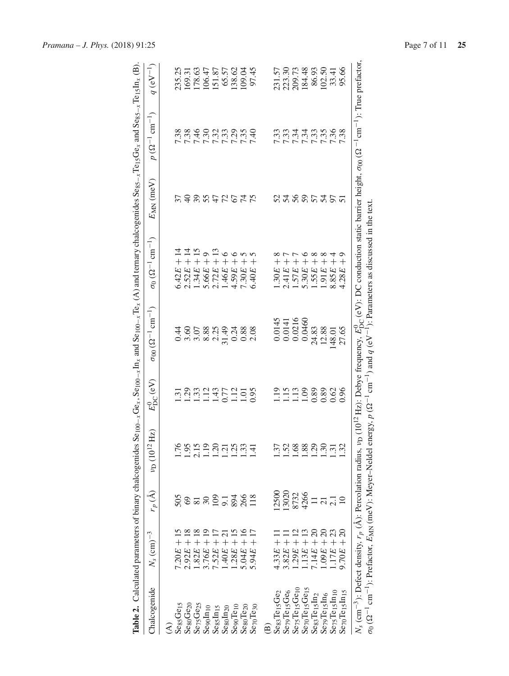<span id="page-6-0"></span>

|                                                   | Table 2. Calculated parameters of binary chalcogenides |                                       |                                        |                                             | $\text{Se}_{100-x}\text{Ge}_{x}$ , $\text{Se}_{100-x}\text{In}_x$ and $\text{Se}_{100-x}\text{Te}_x$ (A) and ternary chalcogenides $\text{Se}_{85-x}\text{Te}_{15}\text{Ge}_{x}$ and $\text{Se}_{85-x}\text{Te}_{15}\text{In}_x$ (B).                                                                                                                                                                                       |                                          |                |                                    |               |
|---------------------------------------------------|--------------------------------------------------------|---------------------------------------|----------------------------------------|---------------------------------------------|-----------------------------------------------------------------------------------------------------------------------------------------------------------------------------------------------------------------------------------------------------------------------------------------------------------------------------------------------------------------------------------------------------------------------------|------------------------------------------|----------------|------------------------------------|---------------|
| Chalcogenide                                      | $N_s$ (cm) <sup><math>-3</math></sup>                  | $r_p\left(\mathring{\text{A}}\right)$ | Hz<br>$v_{\rm D}\, (10^{12}\, {\rm F}$ | $E^0_{\mathrm{DC}}\left(\mathrm{eV}\right)$ | $\sigma_{00} (\Omega^{-1} \text{ cm}^{-1})$                                                                                                                                                                                                                                                                                                                                                                                 | $\sigma_0 (\Omega^{-1} \text{ cm}^{-1})$ | $E_{MN}$ (meV) | $p(\Omega^{-1}$ cm <sup>-1</sup> ) | $q (eV^{-1})$ |
| $\widehat{\mathcal{E}}$                           |                                                        |                                       |                                        |                                             |                                                                                                                                                                                                                                                                                                                                                                                                                             |                                          |                |                                    |               |
| SegsGe <sub>15</sub>                              | $7.20E + 15$                                           |                                       | 1.76                                   |                                             |                                                                                                                                                                                                                                                                                                                                                                                                                             | $6.42E + 14$                             |                | 7.38                               | 235.25        |
| ${\rm Se}_{80}$ G ${\rm Ge}_{20}$                 | $2.92E + 18$                                           |                                       |                                        |                                             | 0.36                                                                                                                                                                                                                                                                                                                                                                                                                        | $2.52E + 14$                             |                | 7.38                               | 169.31        |
| $\mathrm{Ser}_5\mathrm{Ge}_{25}$                  | $1.82E + 18$                                           | 8 = 2 5 = 2 2 8                       | $1.95$<br>$2.15$<br>$1.19$             | 53824525585                                 | 3.07                                                                                                                                                                                                                                                                                                                                                                                                                        | $1.34E + 15$                             | SSSSSSS        |                                    | 178.63        |
| $S$ ego $In10$                                    | $3.76E +$                                              |                                       |                                        |                                             | 8.88                                                                                                                                                                                                                                                                                                                                                                                                                        | $\circ$<br>$5.66E +$                     |                |                                    | 106.47        |
| Se <sub>85</sub> In <sub>15</sub>                 | $7.52E +$                                              |                                       |                                        |                                             | 2.25                                                                                                                                                                                                                                                                                                                                                                                                                        |                                          |                | 22222222<br>22322222               | 151.87        |
| Se <sub>80</sub> In <sub>20</sub>                 | $1.40E + 21$                                           |                                       | $1.20$<br>$1.21$<br>$1.33$             |                                             | 31.49                                                                                                                                                                                                                                                                                                                                                                                                                       | $2.72E + 13$<br>$1.46E + 6$              |                |                                    | 65.57         |
| Seg <sub>10</sub>                                 | $1.28E +$                                              |                                       |                                        |                                             | 0.24                                                                                                                                                                                                                                                                                                                                                                                                                        | $\overline{+}$<br>4.59E                  |                |                                    | 138.62        |
| ${\rm Se}_{80}$ Te <sub>20</sub>                  | $5.04E + 16$                                           |                                       |                                        |                                             | 0.88                                                                                                                                                                                                                                                                                                                                                                                                                        | 7.30E                                    |                |                                    | 109.04        |
| $\rm Sc_{70}Te_{30}$                              | $5.94E +$                                              | 118                                   | 1.41                                   |                                             | 2.08                                                                                                                                                                                                                                                                                                                                                                                                                        | $^{+}$<br>6.40E                          |                |                                    | 97.45         |
| $\widehat{\mathbf{B}}$                            |                                                        |                                       |                                        |                                             |                                                                                                                                                                                                                                                                                                                                                                                                                             |                                          |                |                                    |               |
| $Seg_3Te_{15}Ge_2$                                | $4.33E + 1$                                            | 2500                                  | 1.37                                   |                                             | 0.0145                                                                                                                                                                                                                                                                                                                                                                                                                      | 1.30E                                    |                | 7.33                               | 231.57        |
| Se <sub>79</sub> Te <sub>15</sub> Ge <sub>6</sub> | $3.82E +$                                              | 13020                                 | 1.52                                   |                                             | 0.0141                                                                                                                                                                                                                                                                                                                                                                                                                      | 2.41E                                    |                |                                    | 223.30        |
| $S_{e75}$ Te <sub>15</sub> Ge <sub>10</sub>       | $1.29E +$                                              | 8732                                  | 1.68                                   |                                             | 0.0216                                                                                                                                                                                                                                                                                                                                                                                                                      | 1.57E                                    |                | 7.34<br>7.34                       | 209.73        |
| $Seq0Te15Ge15$                                    | $1.13E +$                                              | 4266                                  | 1.88                                   |                                             | 0.0460                                                                                                                                                                                                                                                                                                                                                                                                                      | $\circ$<br>$^{+}$<br>5.30E               |                | 7.34                               | 184.48        |
| $Seg$ Te <sub>15</sub> In <sub>2</sub>            | $7.14E + 20$                                           | $\frac{1}{2}$                         | 1.29                                   | 111388<br>111188                            | 24.83                                                                                                                                                                                                                                                                                                                                                                                                                       | $\infty$<br>$\overline{+}$<br>1.55E      | 2388535        | 7.33                               | 86.93         |
| $\rm Se_{79}Te_{15}In_6$                          | $1.09E + 20$                                           |                                       |                                        | 0.89                                        | 12.88                                                                                                                                                                                                                                                                                                                                                                                                                       | $\infty$<br>$\overline{+}$<br>1.91E      |                | 7.35                               | 102.50        |
| $S_{e75}$ Te <sub>15</sub> $ln_{10}$              | $1.17E + 23$                                           | $\frac{21}{21}$                       | $1.30$<br>$1.31$                       | 0.62                                        | 148.01                                                                                                                                                                                                                                                                                                                                                                                                                      | $\overline{+}$<br>8.85E                  |                | 7.36                               | 33.41         |
| ${\rm Se}_{70}$ Te $_{15}$ In $_{15}$             | $\Omega$<br>$9.70E +$                                  |                                       | 1.32                                   | 0.96                                        | 27.65                                                                                                                                                                                                                                                                                                                                                                                                                       | σ<br>$\overline{+}$<br>1.28E             |                | 7.38                               | 95.66         |
|                                                   |                                                        |                                       |                                        |                                             | $N_s$ (cm <sup>-3</sup> ): Defect density, $r_p(\hat{A})$ : Percolation radius, $v_D(10^{12} Hz)$ : Debye frequency, $E_{DC}^0$ (eV): DC conduction static barrier height, $\sigma_{00}(\Omega^{-1} \text{cm}^{-1})$ : True prefactor,<br>$\sigma_0 (2^{-1}$ cm <sup>-1</sup> ): Prefactor, $E_{NN}$ (meV): Meyer-Neldel energy, $p(\Omega^{-1}$ cm <sup>-1</sup> ) and $q(eV^{-1})$ : Parameters as discussed in the text. |                                          |                |                                    |               |

*Pramana – J. Phys.* (2018) 91:25 Page 7 of 11 **25**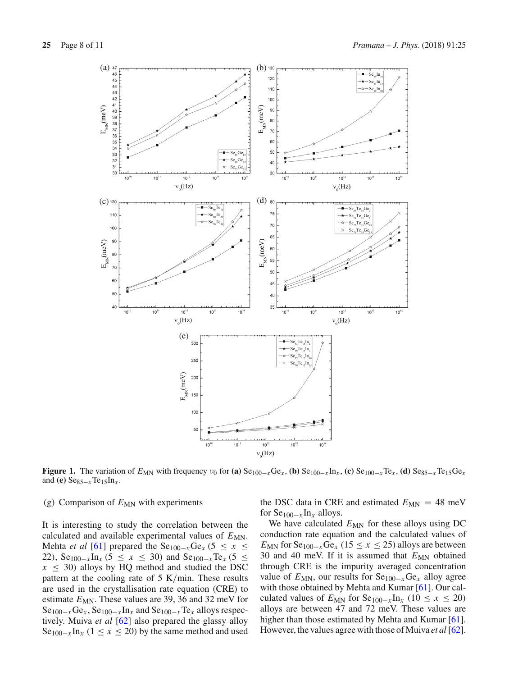

<span id="page-7-0"></span>**Figure 1.** The variation of  $E_{MN}$  with frequency  $v_0$  for **(a)** Se<sub>100−*x*</sub>Ge<sub>*x*</sub> , **(b)** Se<sub>100−*x*</sub>In<sub>*x*</sub> , **(c)** Se<sub>100−*x*</sub>Te<sub>*x*</sub> , **(d)** Se<sub>85−*x*</sub>Te<sub>15</sub>Ge<sub>*x*</sub> and **(e)** Se $_{85-x}$ Te<sub>15</sub>In<sub>x</sub>.

### (g) Comparison of  $E_{MN}$  with experiments

It is interesting to study the correlation between the calculated and available experimental values of  $E_{MN}$ . Mehta *et al* [\[61\]](#page-10-51) prepared the Se<sub>100−*x*</sub>Ge<sub>*x*</sub> (5 ≤ *x* ≤ 22), Se<sub>100−*x*</sub>In<sub>*x*</sub> (5 ≤ *x* ≤ 30) and Se<sub>100−*x*</sub>Te<sub>*x*</sub> (5 ≤  $x \leq 30$ ) alloys by HQ method and studied the DSC pattern at the cooling rate of 5 K/min. These results are used in the crystallisation rate equation (CRE) to estimate  $E_{MN}$ . These values are 39, 36 and 32 meV for Se100−*x*Ge*<sup>x</sup>* , Se100−*<sup>x</sup>* In*<sup>x</sup>* and Se100−*x*Te*<sup>x</sup>* alloys respectively. Muiva *et al* [\[62](#page-10-52)] also prepared the glassy alloy  $\text{Se}_{100-x}\text{In}_x$  (1 ≤ *x* ≤ 20) by the same method and used

the DSC data in CRE and estimated  $E_{MN} = 48$  meV for Se100−*<sup>x</sup>* In*<sup>x</sup>* alloys.

We have calculated  $E_{MN}$  for these alloys using DC conduction rate equation and the calculated values of  $E_{MN}$  for Se<sub>100−*x*</sub>Ge<sub>*x*</sub> (15 ≤ *x* ≤ 25) alloys are between 30 and 40 meV. If it is assumed that  $E_{MN}$  obtained through CRE is the impurity averaged concentration value of  $E_{MN}$ , our results for  $Se_{100-x}Ge_x$  alloy agree with those obtained by Mehta and Kumar [\[61](#page-10-51)]. Our calculated values of  $E_{MN}$  for  $\text{Se}_{100-x} \text{In}_x$  (10 ≤ *x* ≤ 20) alloys are between 47 and 72 meV. These values are higher than those estimated by Mehta and Kumar [\[61](#page-10-51)]. However, the values agree with those of Muiva *et al* [\[62](#page-10-52)].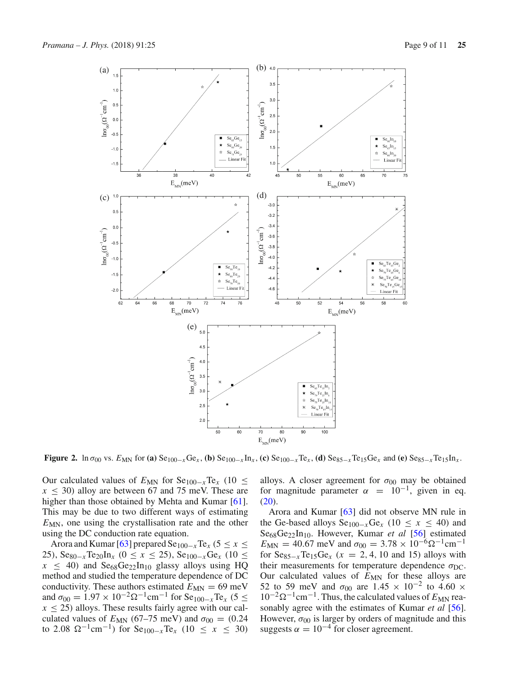

<span id="page-8-0"></span>**Figure 2.** In  $\sigma_{00}$  vs.  $E_{MN}$  for (a)  $Se_{100-x}Ge_x$ , (b)  $Se_{100-x}In_x$ , (c)  $Se_{100-x}Te_x$ , (d)  $Se_{85-x}Te_{15}Ge_x$  and (e)  $Se_{85-x}Te_{15}In_x$ .

Our calculated values of  $E_{MN}$  for  $Se_{100-x}Te_{x}$  (10 ≤  $x < 30$ ) alloy are between 67 and 75 meV. These are higher than those obtained by Mehta and Kumar [\[61](#page-10-51)]. This may be due to two different ways of estimating  $E_{MN}$ , one using the crystallisation rate and the other using the DC conduction rate equation.

Arora and Kumar [\[63\]](#page-10-53) prepared  $\text{Se}_{100-x}\text{Te}_x$  (5  $\leq x \leq$ 25), Se<sub>80−*x*</sub>Te<sub>20</sub>In<sub>*x*</sub> (0 ≤ *x* ≤ 25), Se<sub>100−*x*</sub>Ge<sub>*x*</sub> (10 ≤  $x \leq 40$ ) and Se<sub>68</sub>Ge<sub>22</sub>In<sub>10</sub> glassy alloys using HQ method and studied the temperature dependence of DC conductivity. These authors estimated  $E_{MN} = 69$  meV and  $\sigma_{00} = 1.97 \times 10^{-2} \Omega^{-1}$ cm<sup>-1</sup> for Se<sub>100-*x*</sub>Te<sub>*x*</sub> (5 ≤  $x \le 25$ ) alloys. These results fairly agree with our calculated values of  $E_{MN}$  (67–75 meV) and  $\sigma_{00} = (0.24)$ to 2.08 Ω<sup>-1</sup>cm<sup>-1</sup>) for Se<sub>100-*x*</sub>Te<sub>*x*</sub> (10 ≤ *x* ≤ 30)

alloys. A closer agreement for  $\sigma_{00}$  may be obtained for magnitude parameter  $\alpha = 10^{-1}$ , given in eq.  $(20).$  $(20).$ 

Arora and Kumar [\[63\]](#page-10-53) did not observe MN rule in the Ge-based alloys  $\text{Se}_{100-x}\text{Ge}_x$  (10 ≤ *x* ≤ 40) and Se68Ge22In10. However, Kumar *et al* [\[56\]](#page-10-46) estimated  $E_{MN} = 40.67$  meV and  $\sigma_{00} = 3.78 \times 10^{-6} \Omega^{-1}$ cm<sup>-1</sup> for  $\text{Se}_{85-x}\text{Te}_{15}\text{Ge}_x$  ( $x = 2, 4, 10$  and 15) alloys with their measurements for temperature dependence  $\sigma_{\text{DC}}$ . Our calculated values of  $E_{MN}$  for these alloys are 52 to 59 meV and  $\sigma_{00}$  are 1.45 × 10<sup>-2</sup> to 4.60 × 10<sup>-2</sup>Ω<sup>-1</sup>cm<sup>-1</sup>. Thus, the calculated values of *E*<sub>MN</sub> reasonably agree with the estimates of Kumar *et al* [\[56](#page-10-46)]. However,  $\sigma_{00}$  is larger by orders of magnitude and this suggests  $\alpha = 10^{-4}$  for closer agreement.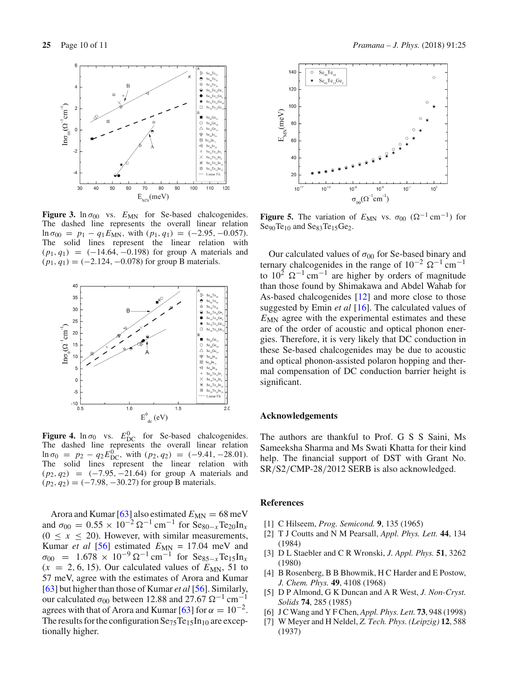

<span id="page-9-3"></span>**Figure 3.** ln  $\sigma_{00}$  vs.  $E_{MN}$  for Se-based chalcogenides. The dashed line represents the overall linear relation ln  $\sigma_{00} = p_1 - q_1 E_{MN}$ , with  $(p_1, q_1) = (-2.95, -0.057)$ . The solid lines represent the linear relation with (*p*1, *q*1) = (−14.64, −0.198) for group A materials and  $(p_1, q_1) = (-2.124, -0.078)$  for group B materials.



<span id="page-9-4"></span>**Figure 4.**  $\ln \sigma_0$  vs.  $E_{\text{DC}}^0$  for Se-based chalcogenides. The dashed line represents the overall linear relation  $\ln \sigma_0 = p_2 - q_2 E_{\text{DC}}^0$ , with  $(p_2, q_2) = (-9.41, -28.01)$ . The solid lines represent the linear relation with (*p*2, *q*2) = (−7.95, −21.64) for group A materials and  $(p_2, q_2) = (-7.98, -30.27)$  for group B materials.

Arora and Kumar [\[63](#page-10-53)] also estimated  $E_{MN} = 68$  meV and  $\sigma_{00} = 0.55 \times 10^{-2} \Omega^{-1} \text{ cm}^{-1}$  for  $\text{Se}_{80-x} \text{Te}_{20} \text{In}_x$  $(0 \le x \le 20)$ . However, with similar measurements, Kumar *et al* [\[56\]](#page-10-46) estimated  $E_{MN} = 17.04$  meV and  $\sigma_{00}$  = 1.678 × 10<sup>-9</sup> Ω<sup>-1</sup> cm<sup>-1</sup> for Se<sub>85-*x*</sub>Te<sub>15</sub>In<sub>*x*</sub>  $(x = 2, 6, 15)$ . Our calculated values of  $E_{MN}$ , 51 to 57 meV, agree with the estimates of Arora and Kumar [\[63](#page-10-53)] but higher than those of Kumar *et al* [\[56](#page-10-46)]. Similarly, our calculated  $\sigma_{00}$  between 12.88 and 27.67  $\Omega^{-1}$  cm<sup>-1</sup> agrees with that of Arora and Kumar [\[63](#page-10-53)] for  $\alpha = 10^{-2}$ . The results for the configuration  $\text{Se}_{75}\text{Te}_{15}\text{In}_{10}$  are exceptionally higher.



<span id="page-9-5"></span>**Figure 5.** The variation of  $E_{MN}$  vs.  $\sigma_{00}$  ( $\Omega^{-1}$  cm<sup>-1</sup>) for  $Seg0Te_{10}$  and  $Seg3Te_{15}Ge_2$ .

Our calculated values of  $\sigma_{00}$  for Se-based binary and ternary chalcogenides in the range of  $10^{-2}$   $\Omega^{-1}$  cm<sup>-1</sup> to  $10^2 \Omega^{-1}$  cm<sup>-1</sup> are higher by orders of magnitude than those found by Shimakawa and Abdel Wahab for As-based chalcogenides [\[12\]](#page-10-3) and more close to those suggested by Emin *et al* [\[16\]](#page-10-7). The calculated values of *E*<sub>MN</sub> agree with the experimental estimates and these are of the order of acoustic and optical phonon energies. Therefore, it is very likely that DC conduction in these Se-based chalcogenides may be due to acoustic and optical phonon-assisted polaron hopping and thermal compensation of DC conduction barrier height is significant.

### **Acknowledgements**

The authors are thankful to Prof. G S S Saini, Ms Sameeksha Sharma and Ms Swati Khatta for their kind help. The financial support of DST with Grant No. SR/S2/CMP-28/2012 SERB is also acknowledged.

# **References**

- <span id="page-9-0"></span>[1] C Hilseem, *Prog. Semicond.* **9**, 135 (1965)
- <span id="page-9-1"></span>[2] T J Coutts and N M Pearsall, *Appl. Phys. Lett.* **44**, 134 (1984)
- [3] D L Staebler and C R Wronski, *J. Appl. Phys.* **51**, 3262 (1980)
- [4] B Rosenberg, B B Bhowmik, H C Harder and E Postow, *J. Chem. Phys.* **49**, 4108 (1968)
- [5] D P Almond, G K Duncan and A R West, *J. Non-Cryst. Solids* **74**, 285 (1985)
- [6] J C Wang and Y F Chen, *Appl. Phys. Lett.* **73**, 948 (1998)
- <span id="page-9-2"></span>[7] W Meyer and H Neldel, *Z. Tech. Phys. (Leipzig)* **12**, 588 (1937)